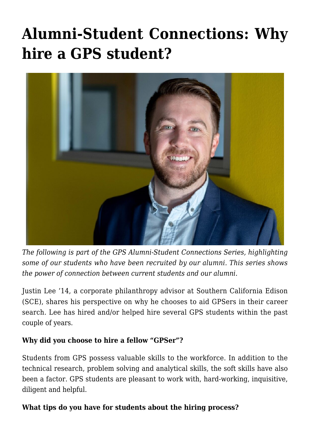## **[Alumni-Student Connections: Why](https://gpsnews.ucsd.edu/alumni-student-connections-why-hire-a-gps-student/) [hire a GPS student?](https://gpsnews.ucsd.edu/alumni-student-connections-why-hire-a-gps-student/)**



*The following is part of the GPS Alumni-Student Connections Series, highlighting some of our students who have been recruited by our alumni. This series shows the power of connection between current students and our alumni.*

Justin Lee '14, a corporate philanthropy advisor at Southern California Edison (SCE), shares his perspective on why he chooses to aid GPSers in their career search. Lee has hired and/or helped hire several GPS students within the past couple of years.

## **Why did you choose to hire a fellow "GPSer"?**

Students from GPS possess valuable skills to the workforce. In addition to the technical research, problem solving and analytical skills, the soft skills have also been a factor. GPS students are pleasant to work with, hard-working, inquisitive, diligent and helpful.

## **What tips do you have for students about the hiring process?**